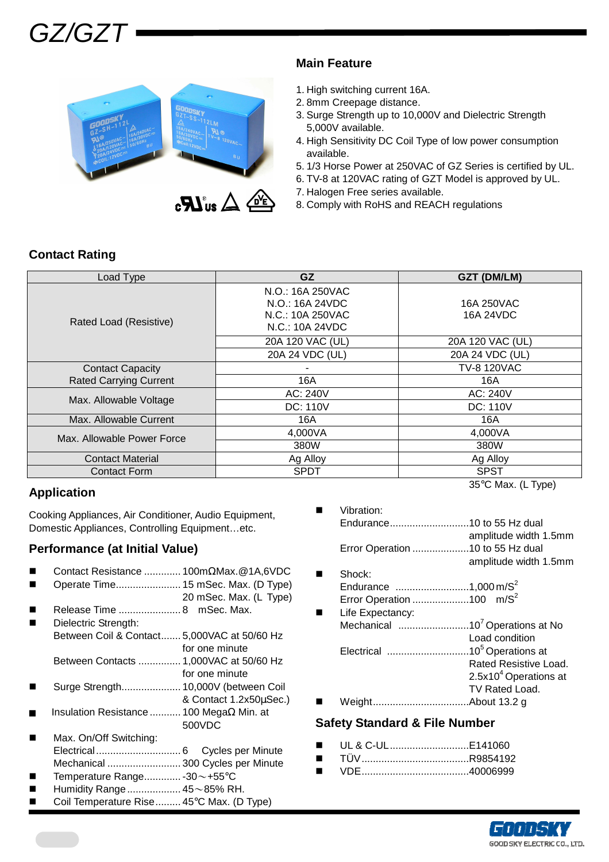



### **Main Feature**

- 1. High switching current 16A.
- 2. 8mm Creepage distance.
- 3. Surge Strength up to 10,000V and Dielectric Strength 5,000V available.
- 4. High Sensitivity DC Coil Type of low power consumption available.
- 5. 1/3 Horse Power at 250VAC of GZ Series is certified by UL.
- 6. TV-8 at 120VAC rating of GZT Model is approved by UL.
- 7. Halogen Free series available.
- 8. Comply with RoHS and REACH regulations

# **Contact Rating**

| Load Type                     | GZ.                                                                        | GZT (DM/LM)             |
|-------------------------------|----------------------------------------------------------------------------|-------------------------|
| Rated Load (Resistive)        | N.O.: 16A 250VAC<br>N.O.: 16A 24VDC<br>N.C.: 10A 250VAC<br>N.C.: 10A 24VDC | 16A 250VAC<br>16A 24VDC |
|                               | 20A 120 VAC (UL)                                                           | 20A 120 VAC (UL)        |
|                               | 20A 24 VDC (UL)                                                            | 20A 24 VDC (UL)         |
| <b>Contact Capacity</b>       |                                                                            | <b>TV-8 120VAC</b>      |
| <b>Rated Carrying Current</b> | 16A                                                                        | 16A                     |
|                               | AC: 240V                                                                   | AC: 240V                |
| Max. Allowable Voltage        | <b>DC: 110V</b>                                                            | <b>DC: 110V</b>         |
| Max. Allowable Current        | 16A                                                                        | 16A                     |
| Max. Allowable Power Force    | 4,000VA                                                                    | 4,000VA                 |
|                               | 380W                                                                       | 380W                    |
| <b>Contact Material</b>       | Ag Alloy                                                                   | Ag Alloy                |
| <b>Contact Form</b>           | <b>SPDT</b>                                                                | <b>SPST</b>             |
|                               |                                                                            | $\cdots$                |

# **Application**

Cooking Appliances, Air Conditioner, Audio Equipment, Domestic Appliances, Controlling Equipment…etc.

# **Performance (at Initial Value)**

- Contact Resistance ............. 100mΩMax.@1A,6VDC
- Operate Time....................... 15 mSec. Max. (D Type)
- 20 mSec. Max. (L Type) Release Time ...................... 8 mSec. Max.
- Dielectric Strength: Between Coil & Contact....... 5,000VAC at 50/60 Hz for one minute
	- Between Contacts ............... 1,000VAC at 50/60 Hz
- for one minute Surge Strength..................... 10,000V (between Coil
- & Contact 1.2x50µSec.)
- Insulation Resistance ........... 100 MegaΩ Min. at 500VDC
- Max. On/Off Switching: Electrical.............................. 6 Cycles per Minute Mechanical .......................... 300 Cycles per Minute
- Temperature Range............. -30~+55°C
- Humidity Range................... 45~85% RH.
- Coil Temperature Rise......... 45°C Max. (D Type)

35°C Max. (L Type)

| Vibration:                           |                                  |
|--------------------------------------|----------------------------------|
|                                      |                                  |
|                                      | amplitude width 1.5mm            |
|                                      | Error Operation 10 to 55 Hz dual |
|                                      | amplitude width 1.5mm            |
| Shock:                               |                                  |
| Endurance 1,000 m/S <sup>2</sup>     |                                  |
| Error Operation 100 m/S <sup>2</sup> |                                  |
| Life Expectancy:                     |                                  |
|                                      |                                  |
|                                      | Load condition                   |
| Elootricol                           | $105$ Operations at              |

- Electrical .............................10<sup>5</sup>Operations at Rated Resistive Load.  $2.5x10<sup>4</sup>$  Operations at TV Rated Load.
- Weight..................................About 13.2 g

#### **Safety Standard & File Number**

- UL & C-UL............................E141060
- TÜV......................................R9854192
- VDE......................................40006999